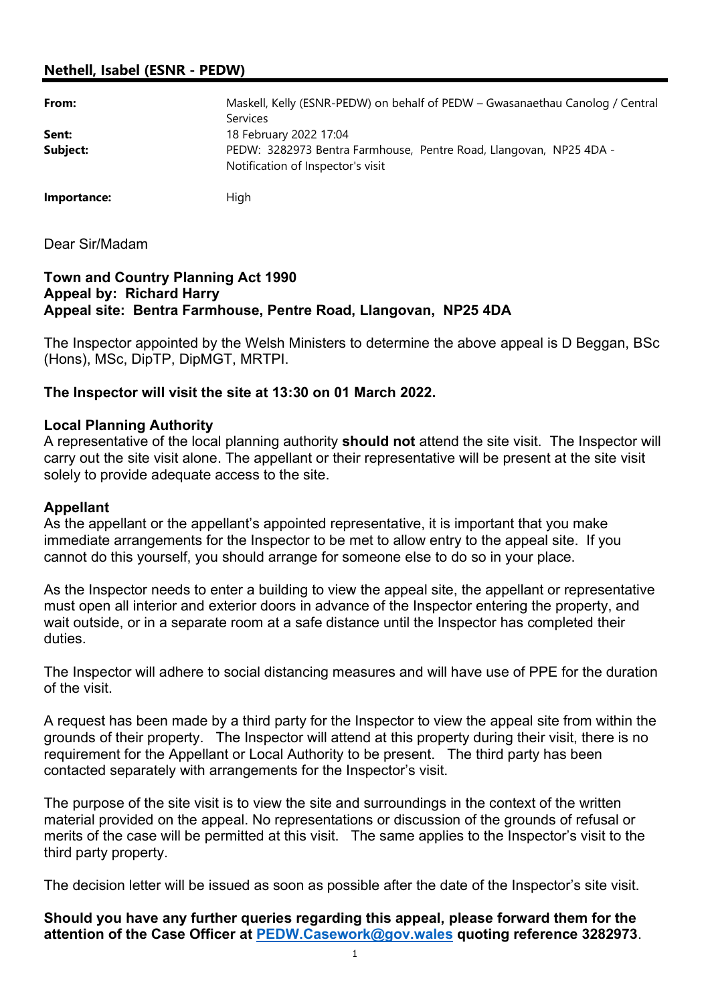# Nethell, Isabel (ESNR - PEDW)

| From:       | Maskell, Kelly (ESNR-PEDW) on behalf of PEDW - Gwasanaethau Canolog / Central<br><b>Services</b>        |
|-------------|---------------------------------------------------------------------------------------------------------|
| Sent:       | 18 February 2022 17:04                                                                                  |
| Subject:    | PEDW: 3282973 Bentra Farmhouse, Pentre Road, Llangovan, NP25 4DA -<br>Notification of Inspector's visit |
| Importance: | High                                                                                                    |

Dear Sir/Madam

#### Town and Country Planning Act 1990 Appeal by: Richard Harry Appeal site: Bentra Farmhouse, Pentre Road, Llangovan, NP25 4DA

The Inspector appointed by the Welsh Ministers to determine the above appeal is D Beggan, BSc (Hons), MSc, DipTP, DipMGT, MRTPI.

## The Inspector will visit the site at 13:30 on 01 March 2022.

#### Local Planning Authority

A representative of the local planning authority **should not** attend the site visit. The Inspector will carry out the site visit alone. The appellant or their representative will be present at the site visit solely to provide adequate access to the site.

#### Appellant

As the appellant or the appellant's appointed representative, it is important that you make immediate arrangements for the Inspector to be met to allow entry to the appeal site. If you cannot do this yourself, you should arrange for someone else to do so in your place.

As the Inspector needs to enter a building to view the appeal site, the appellant or representative must open all interior and exterior doors in advance of the Inspector entering the property, and wait outside, or in a separate room at a safe distance until the Inspector has completed their duties.

The Inspector will adhere to social distancing measures and will have use of PPE for the duration of the visit.

A request has been made by a third party for the Inspector to view the appeal site from within the grounds of their property. The Inspector will attend at this property during their visit, there is no requirement for the Appellant or Local Authority to be present. The third party has been contacted separately with arrangements for the Inspector's visit.

The purpose of the site visit is to view the site and surroundings in the context of the written material provided on the appeal. No representations or discussion of the grounds of refusal or merits of the case will be permitted at this visit. The same applies to the Inspector's visit to the third party property.

The decision letter will be issued as soon as possible after the date of the Inspector's site visit.

Should you have any further queries regarding this appeal, please forward them for the attention of the Case Officer at PEDW.Casework@gov.wales quoting reference 3282973.